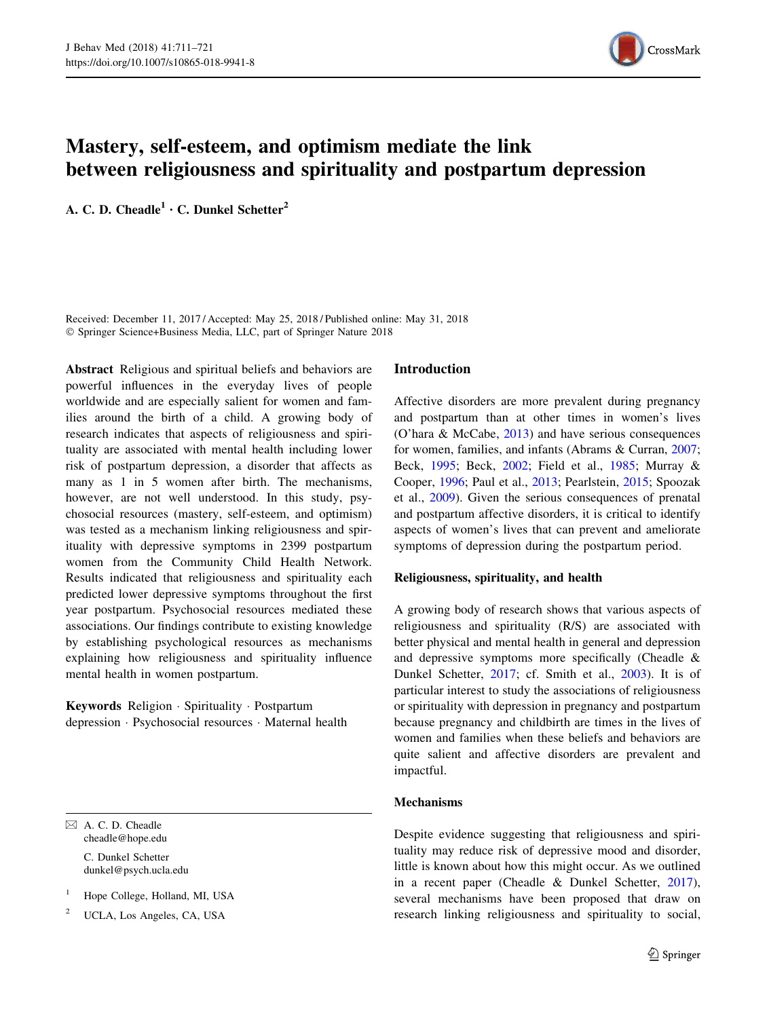

# Mastery, self-esteem, and optimism mediate the link between religiousness and spirituality and postpartum depression

A. C. D. Cheadle<sup>1</sup>  $\cdot$  C. Dunkel Schetter<sup>2</sup>

Received: December 11, 2017 / Accepted: May 25, 2018 / Published online: May 31, 2018 - Springer Science+Business Media, LLC, part of Springer Nature 2018

Abstract Religious and spiritual beliefs and behaviors are powerful influences in the everyday lives of people worldwide and are especially salient for women and families around the birth of a child. A growing body of research indicates that aspects of religiousness and spirituality are associated with mental health including lower risk of postpartum depression, a disorder that affects as many as 1 in 5 women after birth. The mechanisms, however, are not well understood. In this study, psychosocial resources (mastery, self-esteem, and optimism) was tested as a mechanism linking religiousness and spirituality with depressive symptoms in 2399 postpartum women from the Community Child Health Network. Results indicated that religiousness and spirituality each predicted lower depressive symptoms throughout the first year postpartum. Psychosocial resources mediated these associations. Our findings contribute to existing knowledge by establishing psychological resources as mechanisms explaining how religiousness and spirituality influence mental health in women postpartum.

Keywords Religion · Spirituality · Postpartum depression - Psychosocial resources - Maternal health

 $\boxtimes$  A. C. D. Cheadle cheadle@hope.edu

> C. Dunkel Schetter dunkel@psych.ucla.edu

- <sup>1</sup> Hope College, Holland, MI, USA
- <sup>2</sup> UCLA, Los Angeles, CA, USA

## Introduction

Affective disorders are more prevalent during pregnancy and postpartum than at other times in women's lives (O'hara & McCabe, [2013](#page-10-0)) and have serious consequences for women, families, and infants (Abrams & Curran, [2007](#page-9-0); Beck, [1995](#page-9-0); Beck, [2002](#page-9-0); Field et al., [1985;](#page-9-0) Murray & Cooper, [1996](#page-10-0); Paul et al., [2013](#page-10-0); Pearlstein, [2015](#page-10-0); Spoozak et al., [2009\)](#page-10-0). Given the serious consequences of prenatal and postpartum affective disorders, it is critical to identify aspects of women's lives that can prevent and ameliorate symptoms of depression during the postpartum period.

## Religiousness, spirituality, and health

A growing body of research shows that various aspects of religiousness and spirituality (R/S) are associated with better physical and mental health in general and depression and depressive symptoms more specifically (Cheadle & Dunkel Schetter, [2017;](#page-9-0) cf. Smith et al., [2003](#page-10-0)). It is of particular interest to study the associations of religiousness or spirituality with depression in pregnancy and postpartum because pregnancy and childbirth are times in the lives of women and families when these beliefs and behaviors are quite salient and affective disorders are prevalent and impactful.

## Mechanisms

Despite evidence suggesting that religiousness and spirituality may reduce risk of depressive mood and disorder, little is known about how this might occur. As we outlined in a recent paper (Cheadle & Dunkel Schetter, [2017](#page-9-0)), several mechanisms have been proposed that draw on research linking religiousness and spirituality to social,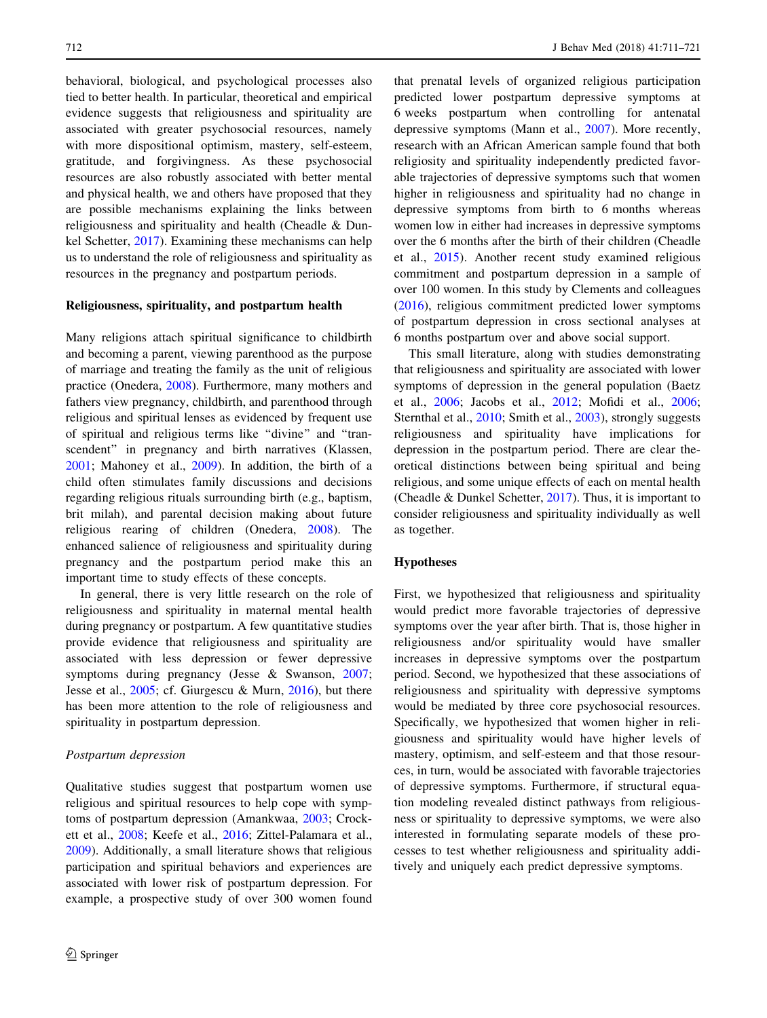behavioral, biological, and psychological processes also tied to better health. In particular, theoretical and empirical evidence suggests that religiousness and spirituality are associated with greater psychosocial resources, namely with more dispositional optimism, mastery, self-esteem, gratitude, and forgivingness. As these psychosocial resources are also robustly associated with better mental and physical health, we and others have proposed that they are possible mechanisms explaining the links between religiousness and spirituality and health (Cheadle & Dunkel Schetter, [2017](#page-9-0)). Examining these mechanisms can help us to understand the role of religiousness and spirituality as resources in the pregnancy and postpartum periods.

## Religiousness, spirituality, and postpartum health

Many religions attach spiritual significance to childbirth and becoming a parent, viewing parenthood as the purpose of marriage and treating the family as the unit of religious practice (Onedera, [2008\)](#page-10-0). Furthermore, many mothers and fathers view pregnancy, childbirth, and parenthood through religious and spiritual lenses as evidenced by frequent use of spiritual and religious terms like ''divine'' and ''transcendent'' in pregnancy and birth narratives (Klassen, [2001;](#page-9-0) Mahoney et al., [2009\)](#page-9-0). In addition, the birth of a child often stimulates family discussions and decisions regarding religious rituals surrounding birth (e.g., baptism, brit milah), and parental decision making about future religious rearing of children (Onedera, [2008\)](#page-10-0). The enhanced salience of religiousness and spirituality during pregnancy and the postpartum period make this an important time to study effects of these concepts.

In general, there is very little research on the role of religiousness and spirituality in maternal mental health during pregnancy or postpartum. A few quantitative studies provide evidence that religiousness and spirituality are associated with less depression or fewer depressive symptoms during pregnancy (Jesse & Swanson, [2007](#page-9-0); Jesse et al., [2005;](#page-9-0) cf. Giurgescu & Murn, [2016\)](#page-9-0), but there has been more attention to the role of religiousness and spirituality in postpartum depression.

#### Postpartum depression

Qualitative studies suggest that postpartum women use religious and spiritual resources to help cope with symptoms of postpartum depression (Amankwaa, [2003](#page-9-0); Crockett et al., [2008;](#page-9-0) Keefe et al., [2016](#page-9-0); Zittel-Palamara et al., [2009\)](#page-10-0). Additionally, a small literature shows that religious participation and spiritual behaviors and experiences are associated with lower risk of postpartum depression. For example, a prospective study of over 300 women found

that prenatal levels of organized religious participation predicted lower postpartum depressive symptoms at 6 weeks postpartum when controlling for antenatal depressive symptoms (Mann et al., [2007](#page-10-0)). More recently, research with an African American sample found that both religiosity and spirituality independently predicted favorable trajectories of depressive symptoms such that women higher in religiousness and spirituality had no change in depressive symptoms from birth to 6 months whereas women low in either had increases in depressive symptoms over the 6 months after the birth of their children (Cheadle et al., [2015](#page-9-0)). Another recent study examined religious commitment and postpartum depression in a sample of over 100 women. In this study by Clements and colleagues [\(2016](#page-9-0)), religious commitment predicted lower symptoms of postpartum depression in cross sectional analyses at 6 months postpartum over and above social support.

This small literature, along with studies demonstrating that religiousness and spirituality are associated with lower symptoms of depression in the general population (Baetz et al., [2006](#page-9-0); Jacobs et al., [2012](#page-9-0); Mofidi et al., [2006](#page-10-0); Sternthal et al., [2010;](#page-10-0) Smith et al., [2003\)](#page-10-0), strongly suggests religiousness and spirituality have implications for depression in the postpartum period. There are clear theoretical distinctions between being spiritual and being religious, and some unique effects of each on mental health (Cheadle & Dunkel Schetter, [2017\)](#page-9-0). Thus, it is important to consider religiousness and spirituality individually as well as together.

## Hypotheses

First, we hypothesized that religiousness and spirituality would predict more favorable trajectories of depressive symptoms over the year after birth. That is, those higher in religiousness and/or spirituality would have smaller increases in depressive symptoms over the postpartum period. Second, we hypothesized that these associations of religiousness and spirituality with depressive symptoms would be mediated by three core psychosocial resources. Specifically, we hypothesized that women higher in religiousness and spirituality would have higher levels of mastery, optimism, and self-esteem and that those resources, in turn, would be associated with favorable trajectories of depressive symptoms. Furthermore, if structural equation modeling revealed distinct pathways from religiousness or spirituality to depressive symptoms, we were also interested in formulating separate models of these processes to test whether religiousness and spirituality additively and uniquely each predict depressive symptoms.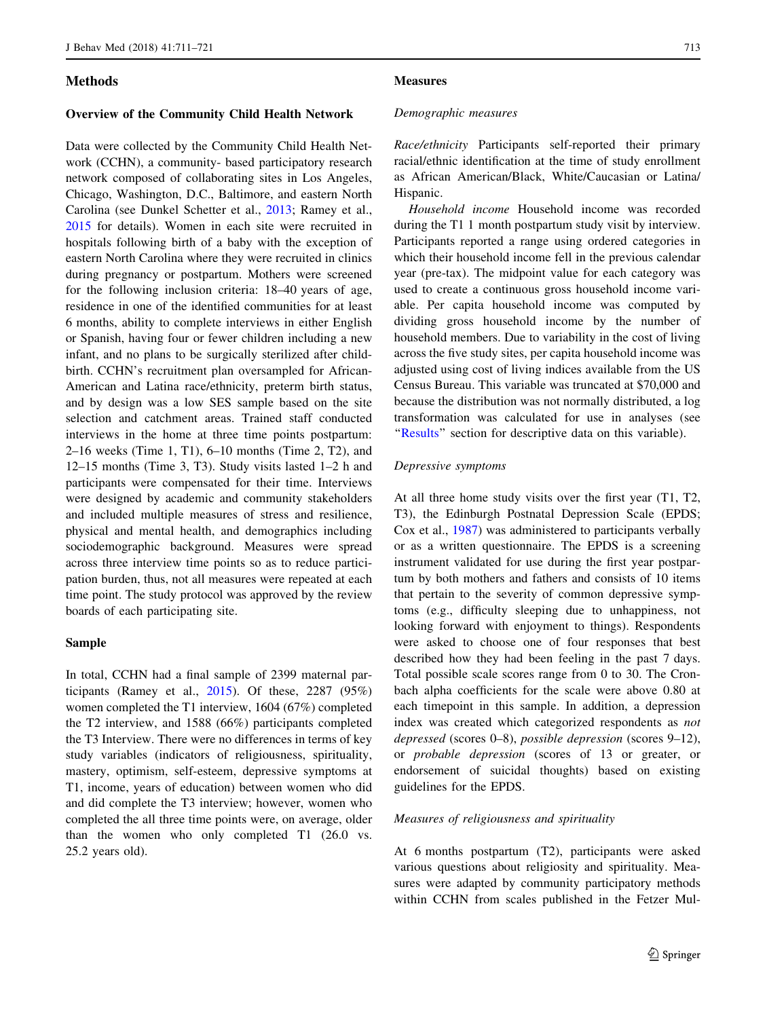## Methods

#### Overview of the Community Child Health Network

Data were collected by the Community Child Health Network (CCHN), a community- based participatory research network composed of collaborating sites in Los Angeles, Chicago, Washington, D.C., Baltimore, and eastern North Carolina (see Dunkel Schetter et al., [2013;](#page-9-0) Ramey et al., [2015](#page-10-0) for details). Women in each site were recruited in hospitals following birth of a baby with the exception of eastern North Carolina where they were recruited in clinics during pregnancy or postpartum. Mothers were screened for the following inclusion criteria: 18–40 years of age, residence in one of the identified communities for at least 6 months, ability to complete interviews in either English or Spanish, having four or fewer children including a new infant, and no plans to be surgically sterilized after childbirth. CCHN's recruitment plan oversampled for African-American and Latina race/ethnicity, preterm birth status, and by design was a low SES sample based on the site selection and catchment areas. Trained staff conducted interviews in the home at three time points postpartum: 2–16 weeks (Time 1, T1), 6–10 months (Time 2, T2), and 12–15 months (Time 3, T3). Study visits lasted 1–2 h and participants were compensated for their time. Interviews were designed by academic and community stakeholders and included multiple measures of stress and resilience, physical and mental health, and demographics including sociodemographic background. Measures were spread across three interview time points so as to reduce participation burden, thus, not all measures were repeated at each time point. The study protocol was approved by the review boards of each participating site.

#### Sample

In total, CCHN had a final sample of 2399 maternal participants (Ramey et al.,  $2015$ ). Of these, 2287 (95%) women completed the T1 interview, 1604 (67%) completed the T2 interview, and 1588 (66%) participants completed the T3 Interview. There were no differences in terms of key study variables (indicators of religiousness, spirituality, mastery, optimism, self-esteem, depressive symptoms at T1, income, years of education) between women who did and did complete the T3 interview; however, women who completed the all three time points were, on average, older than the women who only completed T1 (26.0 vs. 25.2 years old).

### Measures

#### Demographic measures

Race/ethnicity Participants self-reported their primary racial/ethnic identification at the time of study enrollment as African American/Black, White/Caucasian or Latina/ Hispanic.

Household income Household income was recorded during the T1 1 month postpartum study visit by interview. Participants reported a range using ordered categories in which their household income fell in the previous calendar year (pre-tax). The midpoint value for each category was used to create a continuous gross household income variable. Per capita household income was computed by dividing gross household income by the number of household members. Due to variability in the cost of living across the five study sites, per capita household income was adjusted using cost of living indices available from the US Census Bureau. This variable was truncated at \$70,000 and because the distribution was not normally distributed, a log transformation was calculated for use in analyses (see "[Results](#page-4-0)" section for descriptive data on this variable).

## Depressive symptoms

At all three home study visits over the first year (T1, T2, T3), the Edinburgh Postnatal Depression Scale (EPDS; Cox et al., [1987](#page-9-0)) was administered to participants verbally or as a written questionnaire. The EPDS is a screening instrument validated for use during the first year postpartum by both mothers and fathers and consists of 10 items that pertain to the severity of common depressive symptoms (e.g., difficulty sleeping due to unhappiness, not looking forward with enjoyment to things). Respondents were asked to choose one of four responses that best described how they had been feeling in the past 7 days. Total possible scale scores range from 0 to 30. The Cronbach alpha coefficients for the scale were above 0.80 at each timepoint in this sample. In addition, a depression index was created which categorized respondents as not depressed (scores 0–8), possible depression (scores 9–12), or probable depression (scores of 13 or greater, or endorsement of suicidal thoughts) based on existing guidelines for the EPDS.

### Measures of religiousness and spirituality

At 6 months postpartum (T2), participants were asked various questions about religiosity and spirituality. Measures were adapted by community participatory methods within CCHN from scales published in the Fetzer Mul-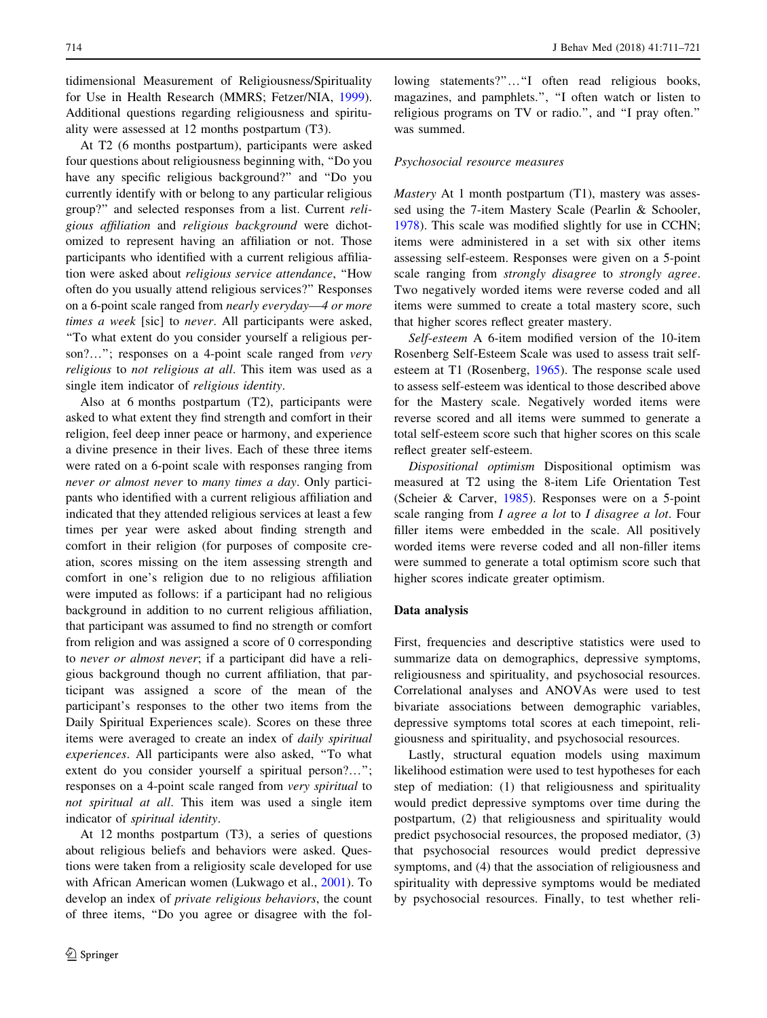tidimensional Measurement of Religiousness/Spirituality for Use in Health Research (MMRS; Fetzer/NIA, [1999](#page-9-0)). Additional questions regarding religiousness and spirituality were assessed at 12 months postpartum (T3).

At T2 (6 months postpartum), participants were asked four questions about religiousness beginning with, ''Do you have any specific religious background?'' and ''Do you currently identify with or belong to any particular religious group?'' and selected responses from a list. Current religious affiliation and religious background were dichotomized to represent having an affiliation or not. Those participants who identified with a current religious affiliation were asked about religious service attendance, ''How often do you usually attend religious services?'' Responses on a 6-point scale ranged from nearly everyday—4 or more times a week [sic] to never. All participants were asked, ''To what extent do you consider yourself a religious person?..."; responses on a 4-point scale ranged from very religious to not religious at all. This item was used as a single item indicator of religious identity.

Also at 6 months postpartum (T2), participants were asked to what extent they find strength and comfort in their religion, feel deep inner peace or harmony, and experience a divine presence in their lives. Each of these three items were rated on a 6-point scale with responses ranging from never or almost never to many times a day. Only participants who identified with a current religious affiliation and indicated that they attended religious services at least a few times per year were asked about finding strength and comfort in their religion (for purposes of composite creation, scores missing on the item assessing strength and comfort in one's religion due to no religious affiliation were imputed as follows: if a participant had no religious background in addition to no current religious affiliation, that participant was assumed to find no strength or comfort from religion and was assigned a score of 0 corresponding to never or almost never; if a participant did have a religious background though no current affiliation, that participant was assigned a score of the mean of the participant's responses to the other two items from the Daily Spiritual Experiences scale). Scores on these three items were averaged to create an index of daily spiritual experiences. All participants were also asked, ''To what extent do you consider yourself a spiritual person?…''; responses on a 4-point scale ranged from very spiritual to not spiritual at all. This item was used a single item indicator of spiritual identity.

At 12 months postpartum (T3), a series of questions about religious beliefs and behaviors were asked. Questions were taken from a religiosity scale developed for use with African American women (Lukwago et al., [2001](#page-9-0)). To develop an index of private religious behaviors, the count of three items, ''Do you agree or disagree with the fol-

lowing statements?"..."I often read religious books, magazines, and pamphlets.'', ''I often watch or listen to religious programs on TV or radio.'', and ''I pray often.'' was summed.

#### Psychosocial resource measures

Mastery At 1 month postpartum (T1), mastery was assessed using the 7-item Mastery Scale (Pearlin & Schooler, [1978](#page-10-0)). This scale was modified slightly for use in CCHN; items were administered in a set with six other items assessing self-esteem. Responses were given on a 5-point scale ranging from strongly disagree to strongly agree. Two negatively worded items were reverse coded and all items were summed to create a total mastery score, such that higher scores reflect greater mastery.

Self-esteem A 6-item modified version of the 10-item Rosenberg Self-Esteem Scale was used to assess trait selfesteem at T1 (Rosenberg, [1965](#page-10-0)). The response scale used to assess self-esteem was identical to those described above for the Mastery scale. Negatively worded items were reverse scored and all items were summed to generate a total self-esteem score such that higher scores on this scale reflect greater self-esteem.

Dispositional optimism Dispositional optimism was measured at T2 using the 8-item Life Orientation Test (Scheier & Carver, [1985\)](#page-10-0). Responses were on a 5-point scale ranging from *I agree a lot* to *I disagree a lot*. Four filler items were embedded in the scale. All positively worded items were reverse coded and all non-filler items were summed to generate a total optimism score such that higher scores indicate greater optimism.

## Data analysis

First, frequencies and descriptive statistics were used to summarize data on demographics, depressive symptoms, religiousness and spirituality, and psychosocial resources. Correlational analyses and ANOVAs were used to test bivariate associations between demographic variables, depressive symptoms total scores at each timepoint, religiousness and spirituality, and psychosocial resources.

Lastly, structural equation models using maximum likelihood estimation were used to test hypotheses for each step of mediation: (1) that religiousness and spirituality would predict depressive symptoms over time during the postpartum, (2) that religiousness and spirituality would predict psychosocial resources, the proposed mediator, (3) that psychosocial resources would predict depressive symptoms, and (4) that the association of religiousness and spirituality with depressive symptoms would be mediated by psychosocial resources. Finally, to test whether reli-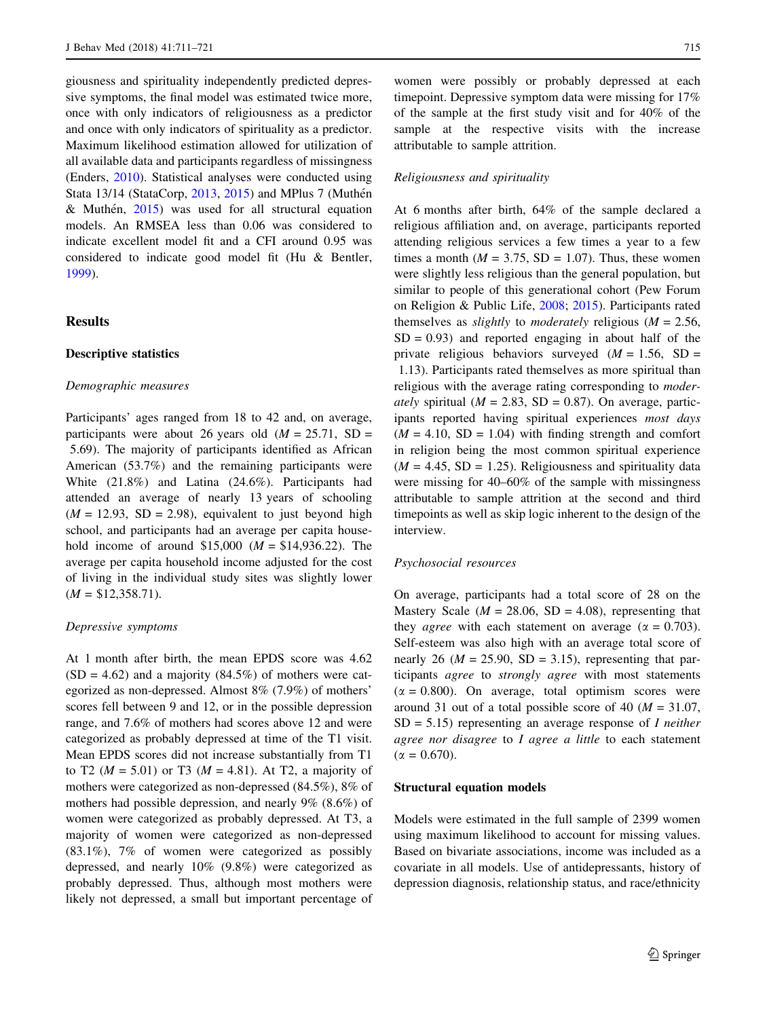<span id="page-4-0"></span>giousness and spirituality independently predicted depressive symptoms, the final model was estimated twice more, once with only indicators of religiousness as a predictor and once with only indicators of spirituality as a predictor. Maximum likelihood estimation allowed for utilization of all available data and participants regardless of missingness (Enders, [2010](#page-9-0)). Statistical analyses were conducted using Stata 13/14 (StataCorp, [2013,](#page-10-0) [2015](#page-10-0)) and MPlus 7 (Muthén & Muthén,  $2015$ ) was used for all structural equation models. An RMSEA less than 0.06 was considered to indicate excellent model fit and a CFI around 0.95 was considered to indicate good model fit (Hu & Bentler, [1999\)](#page-9-0).

## Results

## Descriptive statistics

#### Demographic measures

Participants' ages ranged from 18 to 42 and, on average, participants were about 26 years old  $(M = 25.71, SD =$ 5.69). The majority of participants identified as African American (53.7%) and the remaining participants were White (21.8%) and Latina (24.6%). Participants had attended an average of nearly 13 years of schooling  $(M = 12.93, SD = 2.98)$ , equivalent to just beyond high school, and participants had an average per capita household income of around \$15,000 ( $M = $14,936.22$ ). The average per capita household income adjusted for the cost of living in the individual study sites was slightly lower  $(M = $12,358.71).$ 

#### Depressive symptoms

At 1 month after birth, the mean EPDS score was 4.62  $(SD = 4.62)$  and a majority  $(84.5\%)$  of mothers were categorized as non-depressed. Almost 8% (7.9%) of mothers' scores fell between 9 and 12, or in the possible depression range, and 7.6% of mothers had scores above 12 and were categorized as probably depressed at time of the T1 visit. Mean EPDS scores did not increase substantially from T1 to T2 ( $M = 5.01$ ) or T3 ( $M = 4.81$ ). At T2, a majority of mothers were categorized as non-depressed (84.5%), 8% of mothers had possible depression, and nearly 9% (8.6%) of women were categorized as probably depressed. At T3, a majority of women were categorized as non-depressed  $(83.1\%)$ , 7% of women were categorized as possibly depressed, and nearly 10% (9.8%) were categorized as probably depressed. Thus, although most mothers were likely not depressed, a small but important percentage of

women were possibly or probably depressed at each timepoint. Depressive symptom data were missing for 17% of the sample at the first study visit and for 40% of the sample at the respective visits with the increase attributable to sample attrition.

### Religiousness and spirituality

At 6 months after birth, 64% of the sample declared a religious affiliation and, on average, participants reported attending religious services a few times a year to a few times a month ( $M = 3.75$ , SD = 1.07). Thus, these women were slightly less religious than the general population, but similar to people of this generational cohort (Pew Forum on Religion & Public Life, [2008;](#page-10-0) [2015\)](#page-10-0). Participants rated themselves as *slightly* to *moderately* religious ( $M = 2.56$ ,  $SD = 0.93$ ) and reported engaging in about half of the private religious behaviors surveyed  $(M = 1.56, SD =$ 1.13). Participants rated themselves as more spiritual than religious with the average rating corresponding to moder*ately* spiritual ( $M = 2.83$ , SD = 0.87). On average, participants reported having spiritual experiences most days  $(M = 4.10, SD = 1.04)$  with finding strength and comfort in religion being the most common spiritual experience  $(M = 4.45, SD = 1.25)$ . Religiousness and spirituality data were missing for 40–60% of the sample with missingness attributable to sample attrition at the second and third timepoints as well as skip logic inherent to the design of the interview.

## Psychosocial resources

On average, participants had a total score of 28 on the Mastery Scale ( $M = 28.06$ , SD = 4.08), representing that they *agree* with each statement on average ( $\alpha = 0.703$ ). Self-esteem was also high with an average total score of nearly 26 ( $M = 25.90$ , SD = 3.15), representing that participants agree to strongly agree with most statements  $(\alpha = 0.800)$ . On average, total optimism scores were around 31 out of a total possible score of 40 ( $M = 31.07$ ,  $SD = 5.15$ ) representing an average response of *I neither* agree nor disagree to I agree a little to each statement  $(\alpha = 0.670)$ .

## Structural equation models

Models were estimated in the full sample of 2399 women using maximum likelihood to account for missing values. Based on bivariate associations, income was included as a covariate in all models. Use of antidepressants, history of depression diagnosis, relationship status, and race/ethnicity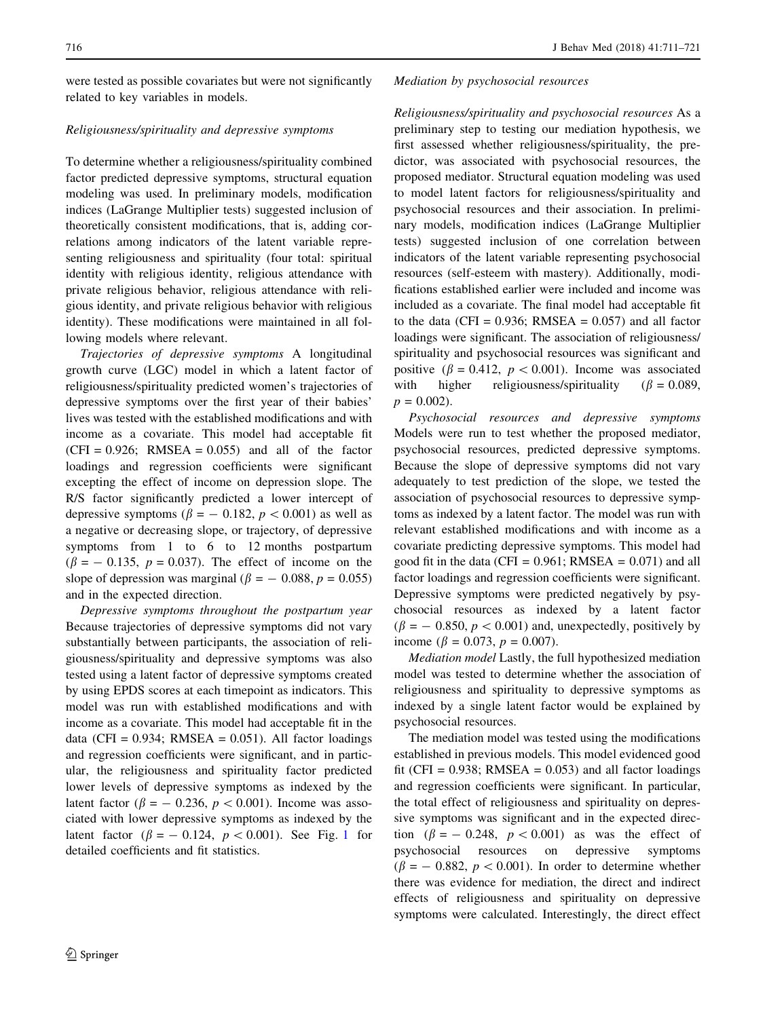were tested as possible covariates but were not significantly related to key variables in models.

## Religiousness/spirituality and depressive symptoms

To determine whether a religiousness/spirituality combined factor predicted depressive symptoms, structural equation modeling was used. In preliminary models, modification indices (LaGrange Multiplier tests) suggested inclusion of theoretically consistent modifications, that is, adding correlations among indicators of the latent variable representing religiousness and spirituality (four total: spiritual identity with religious identity, religious attendance with private religious behavior, religious attendance with religious identity, and private religious behavior with religious identity). These modifications were maintained in all following models where relevant.

Trajectories of depressive symptoms A longitudinal growth curve (LGC) model in which a latent factor of religiousness/spirituality predicted women's trajectories of depressive symptoms over the first year of their babies' lives was tested with the established modifications and with income as a covariate. This model had acceptable fit  $(CFI = 0.926$ ; RMSEA = 0.055) and all of the factor loadings and regression coefficients were significant excepting the effect of income on depression slope. The R/S factor significantly predicted a lower intercept of depressive symptoms ( $\beta$  = -0.182,  $p$  < 0.001) as well as a negative or decreasing slope, or trajectory, of depressive symptoms from 1 to 6 to 12 months postpartum  $(\beta = -0.135, p = 0.037)$ . The effect of income on the slope of depression was marginal ( $\beta = -0.088$ ,  $p = 0.055$ ) and in the expected direction.

Depressive symptoms throughout the postpartum year Because trajectories of depressive symptoms did not vary substantially between participants, the association of religiousness/spirituality and depressive symptoms was also tested using a latent factor of depressive symptoms created by using EPDS scores at each timepoint as indicators. This model was run with established modifications and with income as a covariate. This model had acceptable fit in the data (CFI =  $0.934$ ; RMSEA =  $0.051$ ). All factor loadings and regression coefficients were significant, and in particular, the religiousness and spirituality factor predicted lower levels of depressive symptoms as indexed by the latent factor ( $\beta = -0.236$ ,  $p < 0.001$ ). Income was associated with lower depressive symptoms as indexed by the latent factor ( $\beta = -0.124$  $\beta = -0.124$  $\beta = -0.124$ ,  $p < 0.001$ ). See Fig. 1 for detailed coefficients and fit statistics.

## Mediation by psychosocial resources

Religiousness/spirituality and psychosocial resources As a preliminary step to testing our mediation hypothesis, we first assessed whether religiousness/spirituality, the predictor, was associated with psychosocial resources, the proposed mediator. Structural equation modeling was used to model latent factors for religiousness/spirituality and psychosocial resources and their association. In preliminary models, modification indices (LaGrange Multiplier tests) suggested inclusion of one correlation between indicators of the latent variable representing psychosocial resources (self-esteem with mastery). Additionally, modifications established earlier were included and income was included as a covariate. The final model had acceptable fit to the data (CFI =  $0.936$ ; RMSEA =  $0.057$ ) and all factor loadings were significant. The association of religiousness/ spirituality and psychosocial resources was significant and positive ( $\beta = 0.412$ ,  $p < 0.001$ ). Income was associated with higher religiousness/spirituality  $(\beta = 0.089,$  $p = 0.002$ ).

Psychosocial resources and depressive symptoms Models were run to test whether the proposed mediator, psychosocial resources, predicted depressive symptoms. Because the slope of depressive symptoms did not vary adequately to test prediction of the slope, we tested the association of psychosocial resources to depressive symptoms as indexed by a latent factor. The model was run with relevant established modifications and with income as a covariate predicting depressive symptoms. This model had good fit in the data (CFI =  $0.961$ ; RMSEA =  $0.071$ ) and all factor loadings and regression coefficients were significant. Depressive symptoms were predicted negatively by psychosocial resources as indexed by a latent factor  $(\beta = -0.850, p < 0.001)$  and, unexpectedly, positively by income ( $\beta = 0.073$ ,  $p = 0.007$ ).

Mediation model Lastly, the full hypothesized mediation model was tested to determine whether the association of religiousness and spirituality to depressive symptoms as indexed by a single latent factor would be explained by psychosocial resources.

The mediation model was tested using the modifications established in previous models. This model evidenced good fit (CFI =  $0.938$ ; RMSEA =  $0.053$ ) and all factor loadings and regression coefficients were significant. In particular, the total effect of religiousness and spirituality on depressive symptoms was significant and in the expected direction  $(\beta = -0.248, p < 0.001)$  as was the effect of psychosocial resources on depressive symptoms  $(\beta = -0.882, p < 0.001)$ . In order to determine whether there was evidence for mediation, the direct and indirect effects of religiousness and spirituality on depressive symptoms were calculated. Interestingly, the direct effect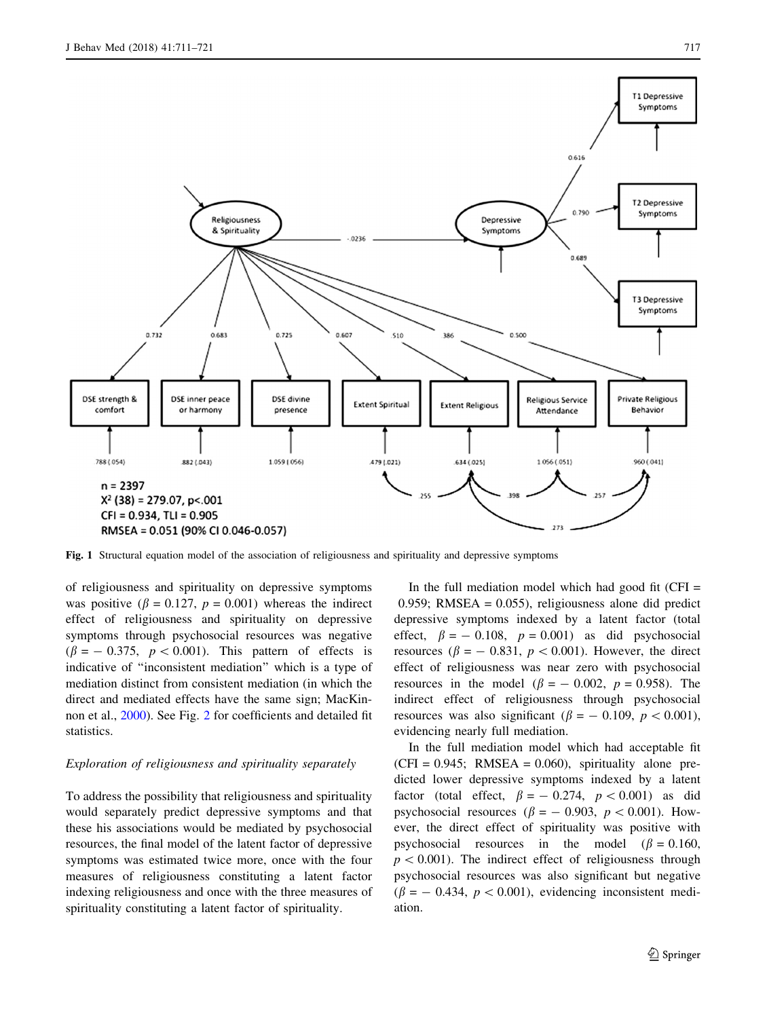<span id="page-6-0"></span>

Fig. 1 Structural equation model of the association of religiousness and spirituality and depressive symptoms

of religiousness and spirituality on depressive symptoms was positive ( $\beta = 0.127$ ,  $p = 0.001$ ) whereas the indirect effect of religiousness and spirituality on depressive symptoms through psychosocial resources was negative  $(\beta = -0.375, p < 0.001)$ . This pattern of effects is indicative of ''inconsistent mediation'' which is a type of mediation distinct from consistent mediation (in which the direct and mediated effects have the same sign; MacKinnon et al., [2000\)](#page-9-0). See Fig. [2](#page-7-0) for coefficients and detailed fit statistics.

## Exploration of religiousness and spirituality separately

To address the possibility that religiousness and spirituality would separately predict depressive symptoms and that these his associations would be mediated by psychosocial resources, the final model of the latent factor of depressive symptoms was estimated twice more, once with the four measures of religiousness constituting a latent factor indexing religiousness and once with the three measures of spirituality constituting a latent factor of spirituality.

In the full mediation model which had good fit  $(CFI =$ 0.959; RMSEA =  $0.055$ ), religiousness alone did predict depressive symptoms indexed by a latent factor (total effect,  $\beta = -0.108$ ,  $p = 0.001$ ) as did psychosocial resources ( $\beta$  = - 0.831,  $p$  < 0.001). However, the direct effect of religiousness was near zero with psychosocial resources in the model  $(\beta = -0.002, p = 0.958)$ . The indirect effect of religiousness through psychosocial resources was also significant ( $\beta = -0.109$ ,  $p < 0.001$ ), evidencing nearly full mediation.

In the full mediation model which had acceptable fit  $(CFI = 0.945$ ; RMSEA = 0.060), spirituality alone predicted lower depressive symptoms indexed by a latent factor (total effect,  $\beta = -0.274$ ,  $p < 0.001$ ) as did psychosocial resources ( $\beta = -0.903$ ,  $p < 0.001$ ). However, the direct effect of spirituality was positive with psychosocial resources in the model  $(\beta = 0.160,$  $p < 0.001$ ). The indirect effect of religiousness through psychosocial resources was also significant but negative  $(\beta = -0.434, p < 0.001)$ , evidencing inconsistent mediation.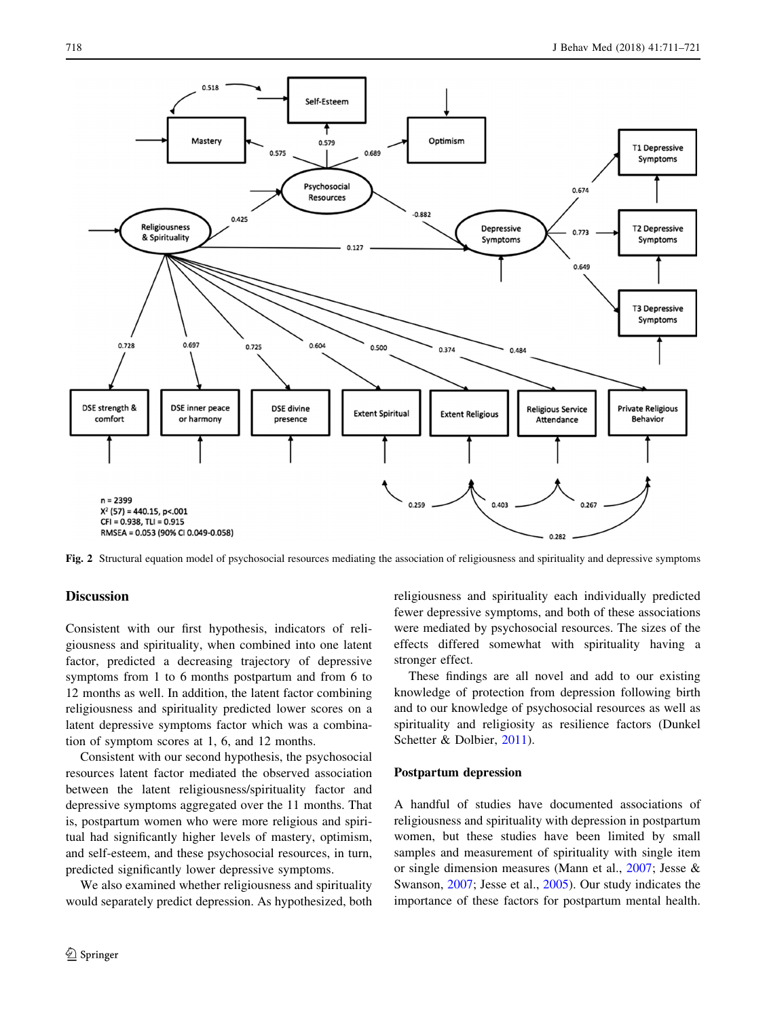<span id="page-7-0"></span>

Fig. 2 Structural equation model of psychosocial resources mediating the association of religiousness and spirituality and depressive symptoms

## **Discussion**

Consistent with our first hypothesis, indicators of religiousness and spirituality, when combined into one latent factor, predicted a decreasing trajectory of depressive symptoms from 1 to 6 months postpartum and from 6 to 12 months as well. In addition, the latent factor combining religiousness and spirituality predicted lower scores on a latent depressive symptoms factor which was a combination of symptom scores at 1, 6, and 12 months.

Consistent with our second hypothesis, the psychosocial resources latent factor mediated the observed association between the latent religiousness/spirituality factor and depressive symptoms aggregated over the 11 months. That is, postpartum women who were more religious and spiritual had significantly higher levels of mastery, optimism, and self-esteem, and these psychosocial resources, in turn, predicted significantly lower depressive symptoms.

We also examined whether religiousness and spirituality would separately predict depression. As hypothesized, both religiousness and spirituality each individually predicted fewer depressive symptoms, and both of these associations were mediated by psychosocial resources. The sizes of the effects differed somewhat with spirituality having a stronger effect.

These findings are all novel and add to our existing knowledge of protection from depression following birth and to our knowledge of psychosocial resources as well as spirituality and religiosity as resilience factors (Dunkel Schetter & Dolbier, [2011\)](#page-9-0).

#### Postpartum depression

A handful of studies have documented associations of religiousness and spirituality with depression in postpartum women, but these studies have been limited by small samples and measurement of spirituality with single item or single dimension measures (Mann et al., [2007;](#page-10-0) Jesse & Swanson, [2007](#page-9-0); Jesse et al., [2005\)](#page-9-0). Our study indicates the importance of these factors for postpartum mental health.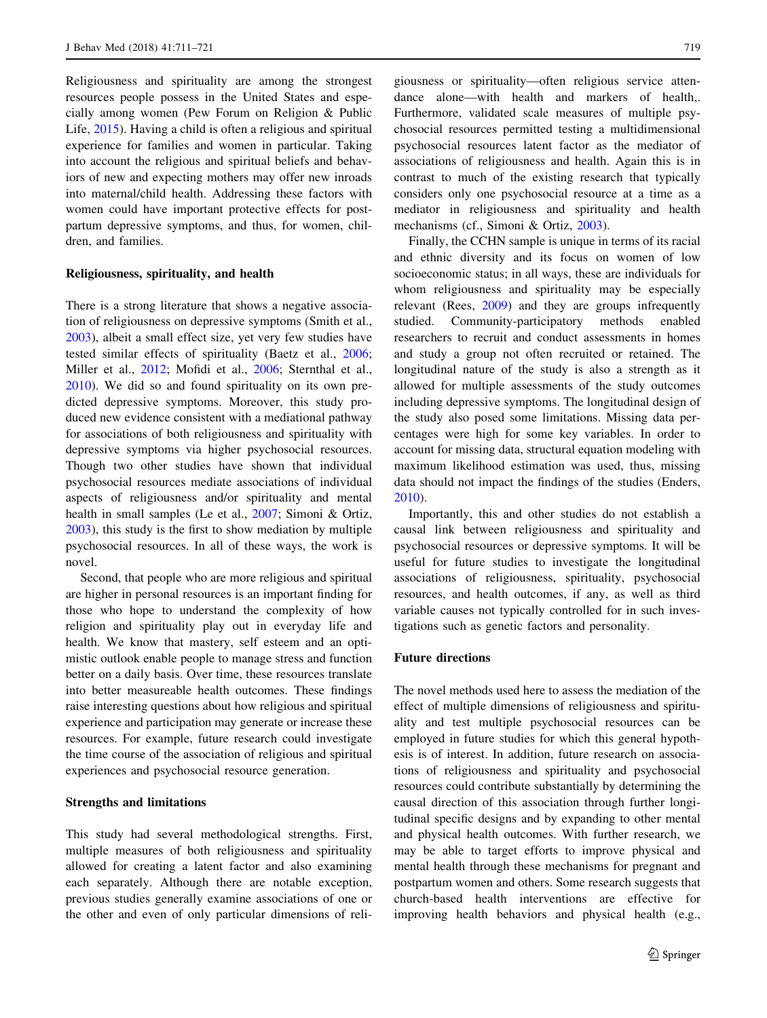Religiousness and spirituality are among the strongest resources people possess in the United States and especially among women (Pew Forum on Religion & Public Life, [2015\)](#page-10-0). Having a child is often a religious and spiritual experience for families and women in particular. Taking into account the religious and spiritual beliefs and behaviors of new and expecting mothers may offer new inroads into maternal/child health. Addressing these factors with women could have important protective effects for postpartum depressive symptoms, and thus, for women, children, and families.

## Religiousness, spirituality, and health

There is a strong literature that shows a negative association of religiousness on depressive symptoms (Smith et al., [2003\)](#page-10-0), albeit a small effect size, yet very few studies have tested similar effects of spirituality (Baetz et al., [2006](#page-9-0); Miller et al., [2012](#page-10-0); Mofidi et al., [2006;](#page-10-0) Sternthal et al., [2010\)](#page-10-0). We did so and found spirituality on its own predicted depressive symptoms. Moreover, this study produced new evidence consistent with a mediational pathway for associations of both religiousness and spirituality with depressive symptoms via higher psychosocial resources. Though two other studies have shown that individual psychosocial resources mediate associations of individual aspects of religiousness and/or spirituality and mental health in small samples (Le et al., [2007;](#page-9-0) Simoni & Ortiz, [2003\)](#page-10-0), this study is the first to show mediation by multiple psychosocial resources. In all of these ways, the work is novel.

Second, that people who are more religious and spiritual are higher in personal resources is an important finding for those who hope to understand the complexity of how religion and spirituality play out in everyday life and health. We know that mastery, self esteem and an optimistic outlook enable people to manage stress and function better on a daily basis. Over time, these resources translate into better measureable health outcomes. These findings raise interesting questions about how religious and spiritual experience and participation may generate or increase these resources. For example, future research could investigate the time course of the association of religious and spiritual experiences and psychosocial resource generation.

## Strengths and limitations

This study had several methodological strengths. First, multiple measures of both religiousness and spirituality allowed for creating a latent factor and also examining each separately. Although there are notable exception, previous studies generally examine associations of one or the other and even of only particular dimensions of religiousness or spirituality—often religious service attendance alone—with health and markers of health,. Furthermore, validated scale measures of multiple psychosocial resources permitted testing a multidimensional psychosocial resources latent factor as the mediator of associations of religiousness and health. Again this is in contrast to much of the existing research that typically considers only one psychosocial resource at a time as a mediator in religiousness and spirituality and health mechanisms (cf., Simoni & Ortiz, [2003](#page-10-0)).

Finally, the CCHN sample is unique in terms of its racial and ethnic diversity and its focus on women of low socioeconomic status; in all ways, these are individuals for whom religiousness and spirituality may be especially relevant (Rees, [2009](#page-10-0)) and they are groups infrequently studied. Community-participatory methods enabled researchers to recruit and conduct assessments in homes and study a group not often recruited or retained. The longitudinal nature of the study is also a strength as it allowed for multiple assessments of the study outcomes including depressive symptoms. The longitudinal design of the study also posed some limitations. Missing data percentages were high for some key variables. In order to account for missing data, structural equation modeling with maximum likelihood estimation was used, thus, missing data should not impact the findings of the studies (Enders, [2010](#page-9-0)).

Importantly, this and other studies do not establish a causal link between religiousness and spirituality and psychosocial resources or depressive symptoms. It will be useful for future studies to investigate the longitudinal associations of religiousness, spirituality, psychosocial resources, and health outcomes, if any, as well as third variable causes not typically controlled for in such investigations such as genetic factors and personality.

## Future directions

The novel methods used here to assess the mediation of the effect of multiple dimensions of religiousness and spirituality and test multiple psychosocial resources can be employed in future studies for which this general hypothesis is of interest. In addition, future research on associations of religiousness and spirituality and psychosocial resources could contribute substantially by determining the causal direction of this association through further longitudinal specific designs and by expanding to other mental and physical health outcomes. With further research, we may be able to target efforts to improve physical and mental health through these mechanisms for pregnant and postpartum women and others. Some research suggests that church-based health interventions are effective for improving health behaviors and physical health (e.g.,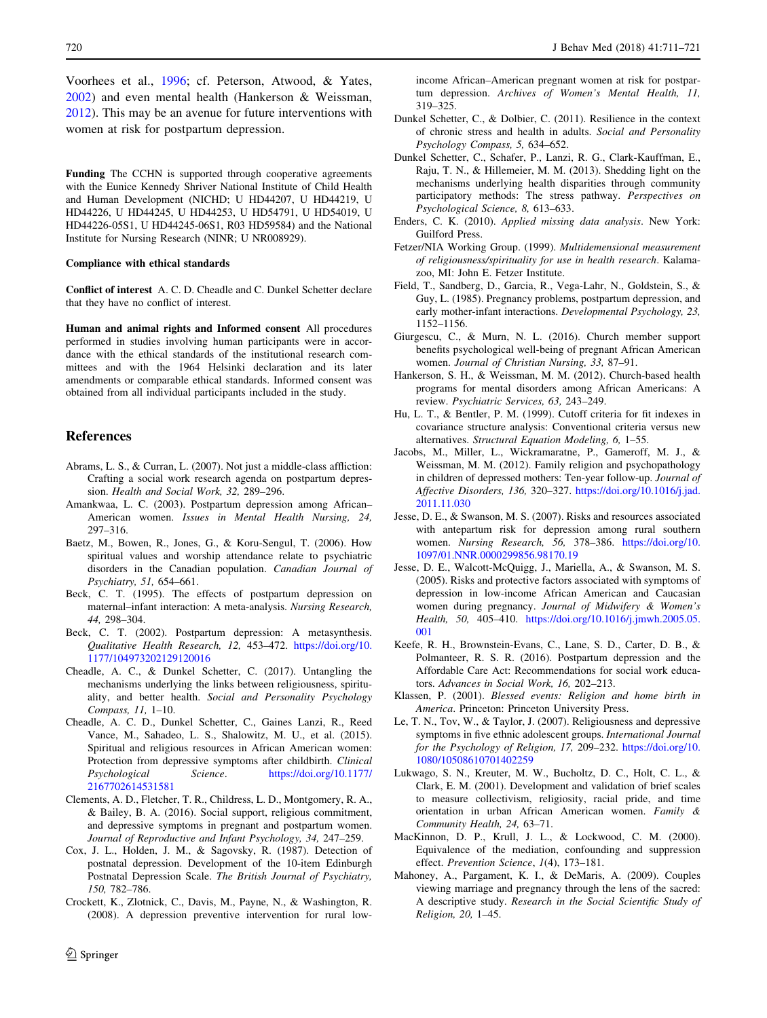<span id="page-9-0"></span>Voorhees et al., [1996;](#page-10-0) cf. Peterson, Atwood, & Yates, [2002\)](#page-10-0) and even mental health (Hankerson & Weissman, 2012). This may be an avenue for future interventions with women at risk for postpartum depression.

Funding The CCHN is supported through cooperative agreements with the Eunice Kennedy Shriver National Institute of Child Health and Human Development (NICHD; U HD44207, U HD44219, U HD44226, U HD44245, U HD44253, U HD54791, U HD54019, U HD44226-05S1, U HD44245-06S1, R03 HD59584) and the National Institute for Nursing Research (NINR; U NR008929).

#### Compliance with ethical standards

Conflict of interest A. C. D. Cheadle and C. Dunkel Schetter declare that they have no conflict of interest.

Human and animal rights and Informed consent All procedures performed in studies involving human participants were in accordance with the ethical standards of the institutional research committees and with the 1964 Helsinki declaration and its later amendments or comparable ethical standards. Informed consent was obtained from all individual participants included in the study.

## References

- Abrams, L. S., & Curran, L. (2007). Not just a middle-class affliction: Crafting a social work research agenda on postpartum depression. Health and Social Work, 32, 289–296.
- Amankwaa, L. C. (2003). Postpartum depression among African– American women. Issues in Mental Health Nursing, 24, 297–316.
- Baetz, M., Bowen, R., Jones, G., & Koru-Sengul, T. (2006). How spiritual values and worship attendance relate to psychiatric disorders in the Canadian population. Canadian Journal of Psychiatry, 51, 654–661.
- Beck, C. T. (1995). The effects of postpartum depression on maternal–infant interaction: A meta-analysis. Nursing Research, 44, 298–304.
- Beck, C. T. (2002). Postpartum depression: A metasynthesis. Qualitative Health Research, 12, 453–472. [https://doi.org/10.](https://doi.org/10.1177/104973202129120016) [1177/104973202129120016](https://doi.org/10.1177/104973202129120016)
- Cheadle, A. C., & Dunkel Schetter, C. (2017). Untangling the mechanisms underlying the links between religiousness, spirituality, and better health. Social and Personality Psychology Compass, 11, 1–10.
- Cheadle, A. C. D., Dunkel Schetter, C., Gaines Lanzi, R., Reed Vance, M., Sahadeo, L. S., Shalowitz, M. U., et al. (2015). Spiritual and religious resources in African American women: Protection from depressive symptoms after childbirth. Clinical Psychological Science. [https://doi.org/10.1177/](https://doi.org/10.1177/2167702614531581) [2167702614531581](https://doi.org/10.1177/2167702614531581)
- Clements, A. D., Fletcher, T. R., Childress, L. D., Montgomery, R. A., & Bailey, B. A. (2016). Social support, religious commitment, and depressive symptoms in pregnant and postpartum women. Journal of Reproductive and Infant Psychology, 34, 247–259.
- Cox, J. L., Holden, J. M., & Sagovsky, R. (1987). Detection of postnatal depression. Development of the 10-item Edinburgh Postnatal Depression Scale. The British Journal of Psychiatry, 150, 782–786.
- Crockett, K., Zlotnick, C., Davis, M., Payne, N., & Washington, R. (2008). A depression preventive intervention for rural low-

income African–American pregnant women at risk for postpartum depression. Archives of Women's Mental Health, 11, 319–325.

- Dunkel Schetter, C., & Dolbier, C. (2011). Resilience in the context of chronic stress and health in adults. Social and Personality Psychology Compass, 5, 634–652.
- Dunkel Schetter, C., Schafer, P., Lanzi, R. G., Clark-Kauffman, E., Raju, T. N., & Hillemeier, M. M. (2013). Shedding light on the mechanisms underlying health disparities through community participatory methods: The stress pathway. Perspectives on Psychological Science, 8, 613–633.
- Enders, C. K. (2010). Applied missing data analysis. New York: Guilford Press.
- Fetzer/NIA Working Group. (1999). Multidemensional measurement of religiousness/spirituality for use in health research. Kalamazoo, MI: John E. Fetzer Institute.
- Field, T., Sandberg, D., Garcia, R., Vega-Lahr, N., Goldstein, S., & Guy, L. (1985). Pregnancy problems, postpartum depression, and early mother-infant interactions. Developmental Psychology, 23, 1152–1156.
- Giurgescu, C., & Murn, N. L. (2016). Church member support benefits psychological well-being of pregnant African American women. Journal of Christian Nursing, 33, 87–91.
- Hankerson, S. H., & Weissman, M. M. (2012). Church-based health programs for mental disorders among African Americans: A review. Psychiatric Services, 63, 243–249.
- Hu, L. T., & Bentler, P. M. (1999). Cutoff criteria for fit indexes in covariance structure analysis: Conventional criteria versus new alternatives. Structural Equation Modeling, 6, 1–55.
- Jacobs, M., Miller, L., Wickramaratne, P., Gameroff, M. J., & Weissman, M. M. (2012). Family religion and psychopathology in children of depressed mothers: Ten-year follow-up. Journal of Affective Disorders, 136, 320–327. [https://doi.org/10.1016/j.jad.](https://doi.org/10.1016/j.jad.2011.11.030) [2011.11.030](https://doi.org/10.1016/j.jad.2011.11.030)
- Jesse, D. E., & Swanson, M. S. (2007). Risks and resources associated with antepartum risk for depression among rural southern women. Nursing Research, 56, 378–386. [https://doi.org/10.](https://doi.org/10.1097/01.NNR.0000299856.98170.19) [1097/01.NNR.0000299856.98170.19](https://doi.org/10.1097/01.NNR.0000299856.98170.19)
- Jesse, D. E., Walcott-McQuigg, J., Mariella, A., & Swanson, M. S. (2005). Risks and protective factors associated with symptoms of depression in low-income African American and Caucasian women during pregnancy. Journal of Midwifery & Women's Health, 50, 405–410. [https://doi.org/10.1016/j.jmwh.2005.05.](https://doi.org/10.1016/j.jmwh.2005.05.001) [001](https://doi.org/10.1016/j.jmwh.2005.05.001)
- Keefe, R. H., Brownstein-Evans, C., Lane, S. D., Carter, D. B., & Polmanteer, R. S. R. (2016). Postpartum depression and the Affordable Care Act: Recommendations for social work educators. Advances in Social Work, 16, 202–213.
- Klassen, P. (2001). Blessed events: Religion and home birth in America. Princeton: Princeton University Press.
- Le, T. N., Tov, W., & Taylor, J. (2007). Religiousness and depressive symptoms in five ethnic adolescent groups. International Journal for the Psychology of Religion, 17, 209–232. [https://doi.org/10.](https://doi.org/10.1080/10508610701402259) [1080/10508610701402259](https://doi.org/10.1080/10508610701402259)
- Lukwago, S. N., Kreuter, M. W., Bucholtz, D. C., Holt, C. L., & Clark, E. M. (2001). Development and validation of brief scales to measure collectivism, religiosity, racial pride, and time orientation in urban African American women. Family & Community Health, 24, 63–71.
- MacKinnon, D. P., Krull, J. L., & Lockwood, C. M. (2000). Equivalence of the mediation, confounding and suppression effect. Prevention Science, 1(4), 173–181.
- Mahoney, A., Pargament, K. I., & DeMaris, A. (2009). Couples viewing marriage and pregnancy through the lens of the sacred: A descriptive study. Research in the Social Scientific Study of Religion, 20, 1–45.